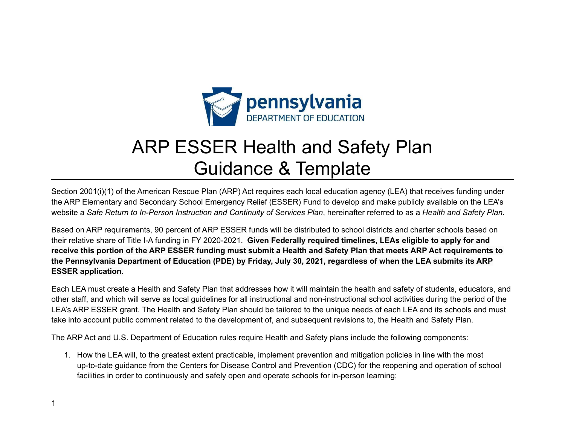

# ARP ESSER Health and Safety Plan Guidance & Template

Section 2001(i)(1) of the American Rescue Plan (ARP) Act requires each local education agency (LEA) that receives funding under the ARP Elementary and Secondary School Emergency Relief (ESSER) Fund to develop and make publicly available on the LEA's website a Safe Return to In-Person Instruction and Continuity of Services Plan, hereinafter referred to as a Health and Safety Plan.

Based on ARP requirements, 90 percent of ARP ESSER funds will be distributed to school districts and charter schools based on their relative share of Title I-A funding in FY 2020-2021. **Given Federally required timelines, LEAs eligible to apply for and** receive this portion of the ARP ESSER funding must submit a Health and Safety Plan that meets ARP Act requirements to the Pennsylvania Department of Education (PDE) by Friday, July 30, 2021, regardless of when the LEA submits its ARP **ESSER application.**

Each LEA must create a Health and Safety Plan that addresses how it will maintain the health and safety of students, educators, and other staff, and which will serve as local guidelines for all instructional and non-instructional school activities during the period of the LEA's ARP ESSER grant. The Health and Safety Plan should be tailored to the unique needs of each LEA and its schools and must take into account public comment related to the development of, and subsequent revisions to, the Health and Safety Plan.

The ARP Act and U.S. Department of Education rules require Health and Safety plans include the following components:

1. How the LEA will, to the greatest extent practicable, implement prevention and mitigation policies in line with the most up-to-date guidance from the Centers for Disease Control and Prevention (CDC) for the reopening and operation of school facilities in order to continuously and safely open and operate schools for in-person learning;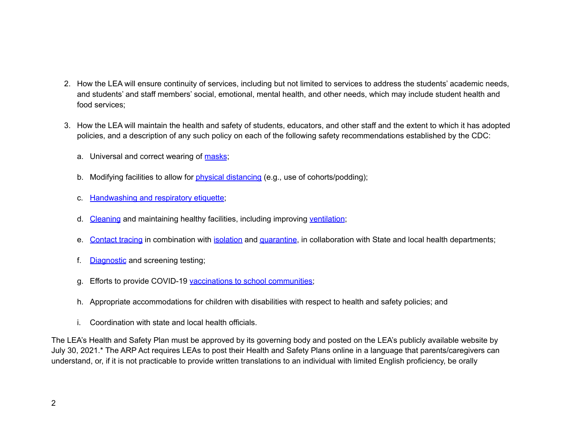- 2. How the LEA will ensure continuity of services, including but not limited to services to address the students' academic needs, and students' and staff members' social, emotional, mental health, and other needs, which may include student health and food services;
- 3. How the LEA will maintain the health and safety of students, educators, and other staff and the extent to which it has adopted policies, and a description of any such policy on each of the following safety recommendations established by the CDC:
	- a. Universal and correct wearing of [masks](https://www.cdc.gov/coronavirus/2019-ncov/prevent-getting-sick/cloth-face-cover-guidance.html?CDC_AA_refVal=https%3A%2F%2Fwww.cdc.gov%2Fcoronavirus%2F2019-ncov%2Fcommunity%2Fschools-childcare%2Fcloth-face-cover.html);
	- b. Modifying facilities to allow for physical [distancing](https://www.cdc.gov/coronavirus/2019-ncov/prevent-getting-sick/social-distancing.html) (e.g., use of cohorts/podding);
	- c. [Handwashing](https://www.cdc.gov/handwashing/when-how-handwashing.html) and respiratory etiquette;
	- d. [Cleaning](https://www.cdc.gov/coronavirus/2019-ncov/community/clean-disinfect/index.html) and maintaining healthy facilities, including improving [ventilation](https://www.cdc.gov/coronavirus/2019-ncov/community/schools-childcare/ventilation.html);
	- e. [Contact](https://www.cdc.gov/coronavirus/2019-ncov/php/contact-tracing/contact-tracing-resources.html?CDC_AA_refVal=https%3A%2F%2Fwww.cdc.gov%2Fcoronavirus%2F2019-ncov%2Fphp%2Fopen-america%2Fcontact-tracing-resources.html) tracing in combination with *[isolation](https://www.cdc.gov/coronavirus/2019-ncov/if-you-are-sick/isolation.html)* and [quarantine](https://www.cdc.gov/coronavirus/2019-ncov/if-you-are-sick/quarantine.html), in collaboration with State and local health departments;
	- f. [Diagnostic](https://www.cdc.gov/coronavirus/2019-ncov/lab/pooling-procedures.html) and screening testing;
	- g. Efforts to provide COVID-19 vaccinations to school [communities;](https://www.cdc.gov/coronavirus/2019-ncov/vaccines/toolkits/schools-childcare.html)
	- h. Appropriate accommodations for children with disabilities with respect to health and safety policies; and
	- i. Coordination with state and local health officials.

The LEA's Health and Safety Plan must be approved by its governing body and posted on the LEA's publicly available website by July 30, 2021.\* The ARP Act requires LEAs to post their Health and Safety Plans online in a language that parents/caregivers can understand, or, if it is not practicable to provide written translations to an individual with limited English proficiency, be orally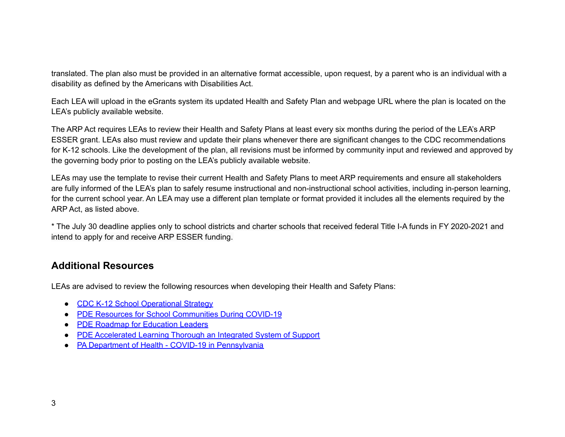translated. The plan also must be provided in an alternative format accessible, upon request, by a parent who is an individual with a disability as defined by the Americans with Disabilities Act.

Each LEA will upload in the eGrants system its updated Health and Safety Plan and webpage URL where the plan is located on the LEA's publicly available website.

The ARP Act requires LEAs to review their Health and Safety Plans at least every six months during the period of the LEA's ARP ESSER grant. LEAs also must review and update their plans whenever there are significant changes to the CDC recommendations for K-12 schools. Like the development of the plan, all revisions must be informed by community input and reviewed and approved by the governing body prior to posting on the LEA's publicly available website.

LEAs may use the template to revise their current Health and Safety Plans to meet ARP requirements and ensure all stakeholders are fully informed of the LEA's plan to safely resume instructional and non-instructional school activities, including in-person learning, for the current school year. An LEA may use a different plan template or format provided it includes all the elements required by the ARP Act, as listed above.

\* The July 30 deadline applies only to school districts and charter schools that received federal Title I-A funds in FY 2020-2021 and intend to apply for and receive ARP ESSER funding.

# **Additional Resources**

LEAs are advised to review the following resources when developing their Health and Safety Plans:

- CDC K-12 School [Operational](https://www.cdc.gov/coronavirus/2019-ncov/community/schools-childcare/operation-strategy.html?CDC_AA_refVal=https%3A%2F%2Fwww.cdc.gov%2Fcoronavirus%2F2019-ncov%2Fcommunity%2Fschools-childcare%2Fschools.html) Strategy
- PDE Resources for School [Communities](https://www.education.pa.gov/Schools/safeschools/emergencyplanning/COVID-19/Pages/default.aspx) During COVID-19
- PDE Roadmap for [Education](https://www.education.pa.gov/Schools/safeschools/emergencyplanning/COVID-19/SchoolReopeningGuidance/ReopeningPreKto12/CreatingEquitableSchoolSystems/Pages/default.aspx) Leaders
- PDE [Accelerated](https://www.education.pa.gov/Schools/safeschools/emergencyplanning/COVID-19/SchoolReopeningGuidance/ReopeningPreKto12/CreatingEquitableSchoolSystems/AcceleratedLearning/Pages/default.aspx) Learning Thorough an Integrated System of Support
- PA Department of Health COVID-19 in [Pennsylvania](https://www.health.pa.gov/topics/disease/coronavirus/Pages/Coronavirus.aspx)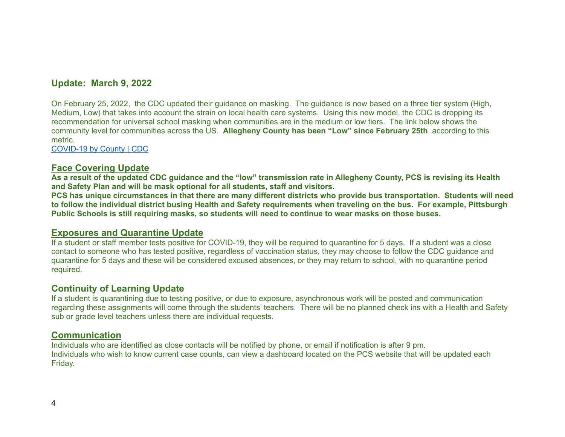# **Update: March 9, 2022**

On February 25, 2022, the CDC updated their guidance on masking. The guidance is now based on a three tier system (High, Medium, Low) that takes into account the strain on local health care systems. Using this new model, the CDC is dropping its recommendation for universal school masking when communities are in the medium or low tiers. The link below shows the community level for communities across the US. **Allegheny County has been "Low" since February 25th** according to this metric.

[COVID-19](https://www.cdc.gov/coronavirus/2019-ncov/your-health/covid-by-county.html) by County | CDC

## **Face Covering Update**

As a result of the updated CDC guidance and the "low" transmission rate in Allegheny County, PCS is revising its Health **and Safety Plan and will be mask optional for all students, staff and visitors.**

PCS has unique circumstances in that there are many different districts who provide bus transportation. Students will need to follow the individual district busing Health and Safety requirements when traveling on the bus. For example, Pittsburgh Public Schools is still requiring masks, so students will need to continue to wear masks on those buses.

## **Exposures and Quarantine Update**

If a student or staff member tests positive for COVID-19, they will be required to quarantine for 5 days. If a student was a close contact to someone who has tested positive, regardless of vaccination status, they may choose to follow the CDC guidance and quarantine for 5 days and these will be considered excused absences, or they may return to school, with no quarantine period required.

## **Continuity of Learning Update**

If a student is quarantining due to testing positive, or due to exposure, asynchronous work will be posted and communication regarding these assignments will come through the students' teachers. There will be no planned check ins with a Health and Safety sub or grade level teachers unless there are individual requests.

# **Communication**

Individuals who are identified as close contacts will be notified by phone, or email if notification is after 9 pm. Individuals who wish to know current case counts, can view a dashboard located on the PCS website that will be updated each Friday.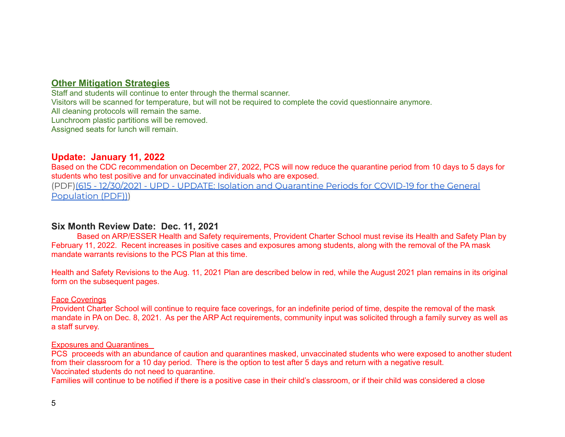## **Other Mitigation Strategies**

Staff and students will continue to enter through the thermal scanner. Visitors will be scanned for temperature, but will not be required to complete the covid questionnaire anymore. All cleaning protocols will remain the same. Lunchroom plastic partitions will be removed. Assigned seats for lunch will remain.

## **Update: January 11, 2022**

Based on the CDC recommendation on December 27, 2022, PCS will now reduce the quarantine period from 10 days to 5 days for students who test positive and for unvaccinated individuals who are exposed.

(PDF)(615 - 12/30/2021 - UPD - UPDATE: Isolation and [Quarantine](https://www.health.pa.gov/topics/Documents/HAN/2021-PAHAN615-12-30-UPD-Iso%20and%20Quar_GenPop1.pdf) Periods for COVID-19 for the General [Population](https://www.health.pa.gov/topics/Documents/HAN/2021-PAHAN615-12-30-UPD-Iso%20and%20Quar_GenPop1.pdf) (PDF)))

## **Six Month Review Date: Dec. 11, 2021**

Based on ARP/ESSER Health and Safety requirements, Provident Charter School must revise its Health and Safety Plan by February 11, 2022. Recent increases in positive cases and exposures among students, along with the removal of the PA mask mandate warrants revisions to the PCS Plan at this time.

Health and Safety Revisions to the Aug. 11, 2021 Plan are described below in red, while the August 2021 plan remains in its original form on the subsequent pages.

#### Face Coverings

Provident Charter School will continue to require face coverings, for an indefinite period of time, despite the removal of the mask mandate in PA on Dec. 8, 2021. As per the ARP Act requirements, community input was solicited through a family survey as well as a staff survey.

#### Exposures and Quarantines

PCS proceeds with an abundance of caution and quarantines masked, unvaccinated students who were exposed to another student from their classroom for a 10 day period. There is the option to test after 5 days and return with a negative result. Vaccinated students do not need to quarantine.

Families will continue to be notified if there is a positive case in their child's classroom, or if their child was considered a close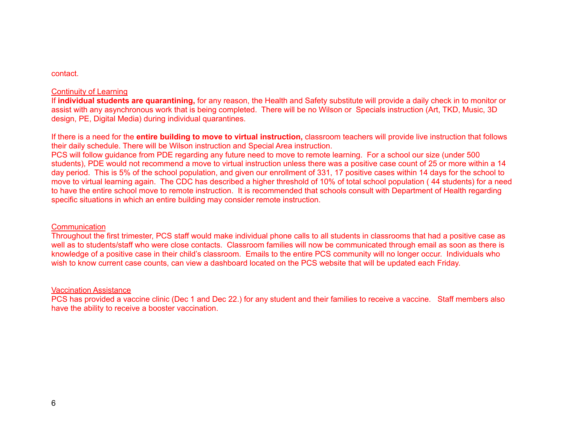#### contact.

#### Continuity of Learning

If **individual students are quarantining,** for any reason, the Health and Safety substitute will provide a daily check in to monitor or assist with any asynchronous work that is being completed. There will be no Wilson or Specials instruction (Art, TKD, Music, 3D design, PE, Digital Media) during individual quarantines.

If there is a need for the **entire building to move to virtual instruction,** classroom teachers will provide live instruction that follows their daily schedule. There will be Wilson instruction and Special Area instruction.

PCS will follow guidance from PDE regarding any future need to move to remote learning. For a school our size (under 500 students), PDE would not recommend a move to virtual instruction unless there was a positive case count of 25 or more within a 14 day period. This is 5% of the school population, and given our enrollment of 331, 17 positive cases within 14 days for the school to move to virtual learning again. The CDC has described a higher threshold of 10% of total school population ( 44 students) for a need to have the entire school move to remote instruction. It is recommended that schools consult with Department of Health regarding specific situations in which an entire building may consider remote instruction.

#### **Communication**

Throughout the first trimester, PCS staff would make individual phone calls to all students in classrooms that had a positive case as well as to students/staff who were close contacts. Classroom families will now be communicated through email as soon as there is knowledge of a positive case in their child's classroom. Emails to the entire PCS community will no longer occur. Individuals who wish to know current case counts, can view a dashboard located on the PCS website that will be updated each Friday.

#### Vaccination Assistance

PCS has provided a vaccine clinic (Dec 1 and Dec 22.) for any student and their families to receive a vaccine. Staff members also have the ability to receive a booster vaccination.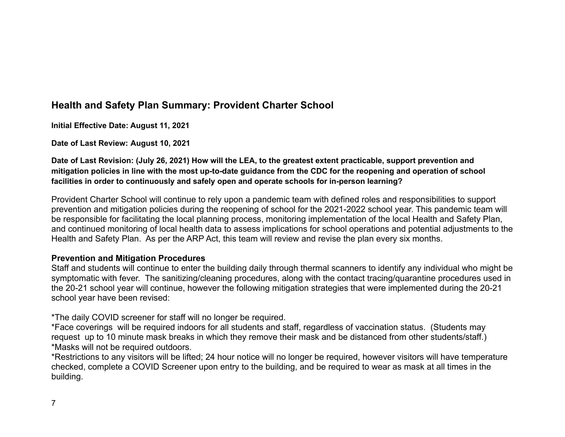# **Health and Safety Plan Summary: Provident Charter School**

**Initial Effective Date: August 11, 2021**

**Date of Last Review: August 10, 2021**

Date of Last Revision: (July 26, 2021) How will the LEA, to the greatest extent practicable, support prevention and mitigation policies in line with the most up-to-date guidance from the CDC for the reopening and operation of school **facilities in order to continuously and safely open and operate schools for in-person learning?**

Provident Charter School will continue to rely upon a pandemic team with defined roles and responsibilities to support prevention and mitigation policies during the reopening of school for the 2021-2022 school year. This pandemic team will be responsible for facilitating the local planning process, monitoring implementation of the local Health and Safety Plan, and continued monitoring of local health data to assess implications for school operations and potential adjustments to the Health and Safety Plan. As per the ARP Act, this team will review and revise the plan every six months.

# **Prevention and Mitigation Procedures**

Staff and students will continue to enter the building daily through thermal scanners to identify any individual who might be symptomatic with fever. The sanitizing/cleaning procedures, along with the contact tracing/quarantine procedures used in the 20-21 school year will continue, however the following mitigation strategies that were implemented during the 20-21 school year have been revised:

\*The daily COVID screener for staff will no longer be required.

\*Face coverings will be required indoors for all students and staff, regardless of vaccination status. (Students may request up to 10 minute mask breaks in which they remove their mask and be distanced from other students/staff.) \*Masks will not be required outdoors.

\*Restrictions to any visitors will be lifted; 24 hour notice will no longer be required, however visitors will have temperature checked, complete a COVID Screener upon entry to the building, and be required to wear as mask at all times in the building.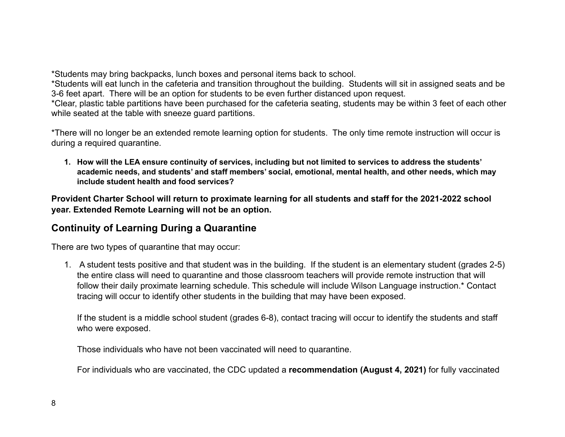\*Students may bring backpacks, lunch boxes and personal items back to school.

\*Students will eat lunch in the cafeteria and transition throughout the building. Students will sit in assigned seats and be 3-6 feet apart. There will be an option for students to be even further distanced upon request.

\*Clear, plastic table partitions have been purchased for the cafeteria seating, students may be within 3 feet of each other while seated at the table with sneeze guard partitions.

\*There will no longer be an extended remote learning option for students. The only time remote instruction will occur is during a required quarantine.

1. How will the LEA ensure continuity of services, including but not limited to services to address the students' **academic needs, and students' and staff members' social, emotional, mental health, and other needs, which may include student health and food services?**

**Provident Charter School will return to proximate learning for all students and staff for the 2021-2022 school year. Extended Remote Learning will not be an option.**

# **Continuity of Learning During a Quarantine**

There are two types of quarantine that may occur:

1. A student tests positive and that student was in the building. If the student is an elementary student (grades 2-5) the entire class will need to quarantine and those classroom teachers will provide remote instruction that will follow their daily proximate learning schedule. This schedule will include Wilson Language instruction.\* Contact tracing will occur to identify other students in the building that may have been exposed.

If the student is a middle school student (grades 6-8), contact tracing will occur to identify the students and staff who were exposed.

Those individuals who have not been vaccinated will need to quarantine.

For individuals who are vaccinated, the CDC updated a **recommendation (August 4, 2021)** for fully vaccinated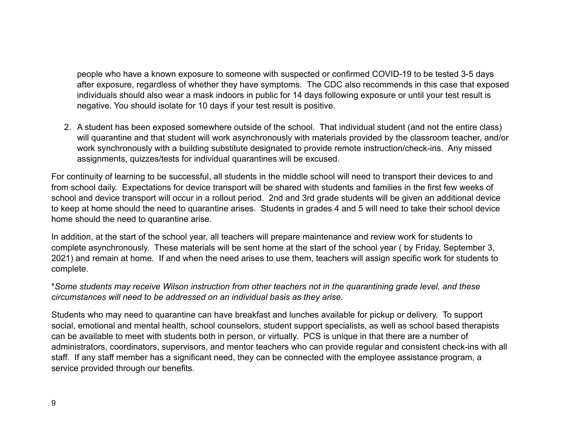people who have a known exposure to someone with suspected or confirmed COVID-19 to be tested 3-5 days after exposure, regardless of whether they have symptoms. The CDC also recommends in this case that exposed individuals should also wear a mask indoors in public for 14 days following exposure or until your test result is negative. You should isolate for 10 days if your test result is positive.

2. A student has been exposed somewhere outside of the school. That individual student (and not the entire class) will quarantine and that student will work asynchronously with materials provided by the classroom teacher, and/or work synchronously with a building substitute designated to provide remote instruction/check-ins. Any missed assignments, quizzes/tests for individual quarantines will be excused.

For continuity of learning to be successful, all students in the middle school will need to transport their devices to and from school daily. Expectations for device transport will be shared with students and families in the first few weeks of school and device transport will occur in a rollout period. 2nd and 3rd grade students will be given an additional device to keep at home should the need to quarantine arises. Students in grades 4 and 5 will need to take their school device home should the need to quarantine arise.

In addition, at the start of the school year, all teachers will prepare maintenance and review work for students to complete asynchronously. These materials will be sent home at the start of the school year ( by Friday, September 3, 2021) and remain at home. If and when the need arises to use them, teachers will assign specific work for students to complete.

\**Some students may receive Wilson instruction from other teachers not in the quarantining grade level, and these circumstances will need to be addressed on an individual basis as they arise.*

Students who may need to quarantine can have breakfast and lunches available for pickup or delivery. To support social, emotional and mental health, school counselors, student support specialists, as well as school based therapists can be available to meet with students both in person, or virtually. PCS is unique in that there are a number of administrators, coordinators, supervisors, and mentor teachers who can provide regular and consistent check-ins with all staff. If any staff member has a significant need, they can be connected with the employee assistance program, a service provided through our benefits.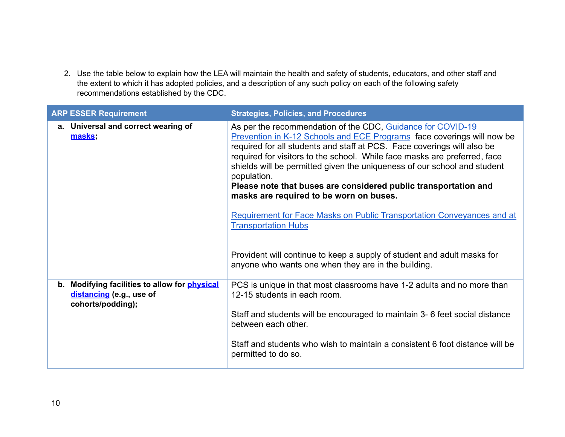2. Use the table below to explain how the LEA will maintain the health and safety of students, educators, and other staff and the extent to which it has adopted policies, and a description of any such policy on each of the following safety recommendations established by the CDC.

| <b>ARP ESSER Requirement</b>                                                                             | <b>Strategies, Policies, and Procedures</b>                                                                                                                                                                                                                                                                                                                                                                                                                                                                                                                                                                                                                                                                                                      |
|----------------------------------------------------------------------------------------------------------|--------------------------------------------------------------------------------------------------------------------------------------------------------------------------------------------------------------------------------------------------------------------------------------------------------------------------------------------------------------------------------------------------------------------------------------------------------------------------------------------------------------------------------------------------------------------------------------------------------------------------------------------------------------------------------------------------------------------------------------------------|
| a. Universal and correct wearing of<br>masks;                                                            | As per the recommendation of the CDC, Guidance for COVID-19<br>Prevention in K-12 Schools and ECE Programs face coverings will now be<br>required for all students and staff at PCS. Face coverings will also be<br>required for visitors to the school. While face masks are preferred, face<br>shields will be permitted given the uniqueness of our school and student<br>population.<br>Please note that buses are considered public transportation and<br>masks are required to be worn on buses.<br>Requirement for Face Masks on Public Transportation Conveyances and at<br><b>Transportation Hubs</b><br>Provident will continue to keep a supply of student and adult masks for<br>anyone who wants one when they are in the building. |
| Modifying facilities to allow for <b>physical</b><br>b.<br>distancing (e.g., use of<br>cohorts/podding); | PCS is unique in that most classrooms have 1-2 adults and no more than<br>12-15 students in each room.<br>Staff and students will be encouraged to maintain 3-6 feet social distance<br>between each other.<br>Staff and students who wish to maintain a consistent 6 foot distance will be<br>permitted to do so.                                                                                                                                                                                                                                                                                                                                                                                                                               |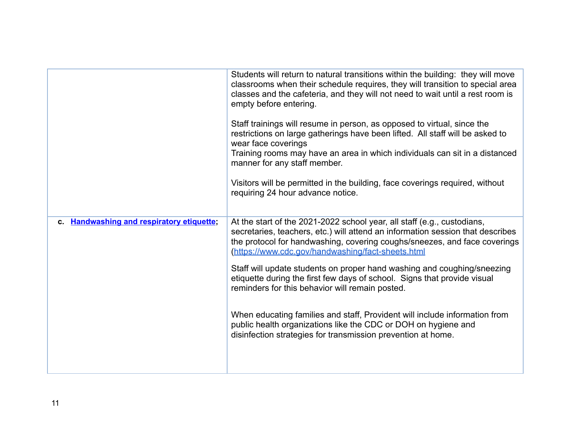|                                                              | Students will return to natural transitions within the building: they will move<br>classrooms when their schedule requires, they will transition to special area<br>classes and the cafeteria, and they will not need to wait until a rest room is<br>empty before entering.<br>Staff trainings will resume in person, as opposed to virtual, since the<br>restrictions on large gatherings have been lifted. All staff will be asked to<br>wear face coverings<br>Training rooms may have an area in which individuals can sit in a distanced<br>manner for any staff member.<br>Visitors will be permitted in the building, face coverings required, without<br>requiring 24 hour advance notice. |
|--------------------------------------------------------------|-----------------------------------------------------------------------------------------------------------------------------------------------------------------------------------------------------------------------------------------------------------------------------------------------------------------------------------------------------------------------------------------------------------------------------------------------------------------------------------------------------------------------------------------------------------------------------------------------------------------------------------------------------------------------------------------------------|
| <b>Handwashing and respiratory etiquette;</b><br>$c_{\cdot}$ | At the start of the 2021-2022 school year, all staff (e.g., custodians,<br>secretaries, teachers, etc.) will attend an information session that describes<br>the protocol for handwashing, covering coughs/sneezes, and face coverings<br>(https://www.cdc.gov/handwashing/fact-sheets.html<br>Staff will update students on proper hand washing and coughing/sneezing<br>etiquette during the first few days of school. Signs that provide visual<br>reminders for this behavior will remain posted.<br>When educating families and staff, Provident will include information from<br>public health organizations like the CDC or DOH on hygiene and                                               |
|                                                              | disinfection strategies for transmission prevention at home.                                                                                                                                                                                                                                                                                                                                                                                                                                                                                                                                                                                                                                        |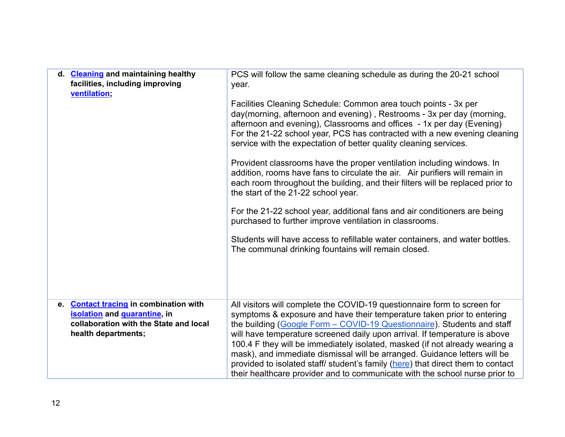| d. Cleaning and maintaining healthy<br>facilities, including improving<br>ventilation; | PCS will follow the same cleaning schedule as during the 20-21 school<br>year.<br>Facilities Cleaning Schedule: Common area touch points - 3x per<br>day(morning, afternoon and evening), Restrooms - 3x per day (morning,<br>afternoon and evening), Classrooms and offices - 1x per day (Evening)<br>For the 21-22 school year, PCS has contracted with a new evening cleaning<br>service with the expectation of better quality cleaning services.<br>Provident classrooms have the proper ventilation including windows. In<br>addition, rooms have fans to circulate the air. Air purifiers will remain in<br>each room throughout the building, and their filters will be replaced prior to<br>the start of the 21-22 school year.<br>For the 21-22 school year, additional fans and air conditioners are being<br>purchased to further improve ventilation in classrooms.<br>Students will have access to refillable water containers, and water bottles.<br>The communal drinking fountains will remain closed. |
|----------------------------------------------------------------------------------------|-------------------------------------------------------------------------------------------------------------------------------------------------------------------------------------------------------------------------------------------------------------------------------------------------------------------------------------------------------------------------------------------------------------------------------------------------------------------------------------------------------------------------------------------------------------------------------------------------------------------------------------------------------------------------------------------------------------------------------------------------------------------------------------------------------------------------------------------------------------------------------------------------------------------------------------------------------------------------------------------------------------------------|
| e. Contact tracing in combination with                                                 | All visitors will complete the COVID-19 questionnaire form to screen for                                                                                                                                                                                                                                                                                                                                                                                                                                                                                                                                                                                                                                                                                                                                                                                                                                                                                                                                                |
| isolation and quarantine, in                                                           | symptoms & exposure and have their temperature taken prior to entering                                                                                                                                                                                                                                                                                                                                                                                                                                                                                                                                                                                                                                                                                                                                                                                                                                                                                                                                                  |
| collaboration with the State and local                                                 | the building (Google Form - COVID-19 Questionnaire). Students and staff                                                                                                                                                                                                                                                                                                                                                                                                                                                                                                                                                                                                                                                                                                                                                                                                                                                                                                                                                 |
| health departments;                                                                    | will have temperature screened daily upon arrival. If temperature is above<br>100.4 F they will be immediately isolated, masked (if not already wearing a<br>mask), and immediate dismissal will be arranged. Guidance letters will be<br>provided to isolated staff/ student's family (here) that direct them to contact<br>their healthcare provider and to communicate with the school nurse prior to                                                                                                                                                                                                                                                                                                                                                                                                                                                                                                                                                                                                                |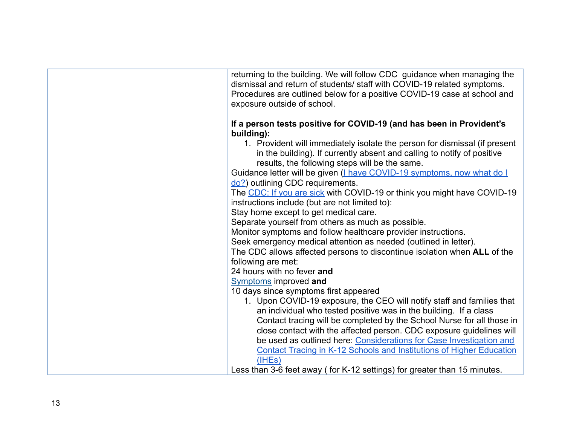| returning to the building. We will follow CDC guidance when managing the<br>dismissal and return of students/ staff with COVID-19 related symptoms.<br>Procedures are outlined below for a positive COVID-19 case at school and<br>exposure outside of school. |
|----------------------------------------------------------------------------------------------------------------------------------------------------------------------------------------------------------------------------------------------------------------|
| If a person tests positive for COVID-19 (and has been in Provident's<br>building):<br>1. Provident will immediately isolate the person for dismissal (if present<br>in the building). If currently absent and calling to notify of positive                    |
| results, the following steps will be the same.<br>Guidance letter will be given ( <i>I have COVID-19 symptoms, now what do I</i>                                                                                                                               |
| do?) outlining CDC requirements.<br>The CDC: If you are sick with COVID-19 or think you might have COVID-19<br>instructions include (but are not limited to):                                                                                                  |
| Stay home except to get medical care.<br>Separate yourself from others as much as possible.                                                                                                                                                                    |
| Monitor symptoms and follow healthcare provider instructions.<br>Seek emergency medical attention as needed (outlined in letter).<br>The CDC allows affected persons to discontinue isolation when ALL of the                                                  |
| following are met:<br>24 hours with no fever and                                                                                                                                                                                                               |
| <b>Symptoms</b> improved and<br>10 days since symptoms first appeared<br>1. Upon COVID-19 exposure, the CEO will notify staff and families that                                                                                                                |
| an individual who tested positive was in the building. If a class<br>Contact tracing will be completed by the School Nurse for all those in                                                                                                                    |
| close contact with the affected person. CDC exposure guidelines will<br>be used as outlined here: Considerations for Case Investigation and<br><b>Contact Tracing in K-12 Schools and Institutions of Higher Education</b>                                     |
| (IHEs)<br>Less than 3-6 feet away (for K-12 settings) for greater than 15 minutes.                                                                                                                                                                             |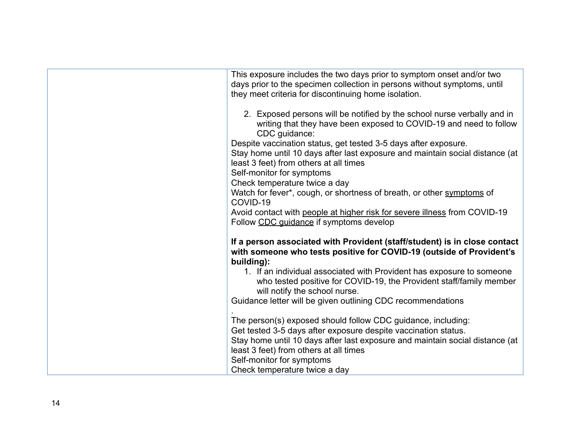| This exposure includes the two days prior to symptom onset and/or two<br>days prior to the specimen collection in persons without symptoms, until<br>they meet criteria for discontinuing home isolation.                                                |
|----------------------------------------------------------------------------------------------------------------------------------------------------------------------------------------------------------------------------------------------------------|
| 2. Exposed persons will be notified by the school nurse verbally and in<br>writing that they have been exposed to COVID-19 and need to follow<br>CDC guidance:                                                                                           |
| Despite vaccination status, get tested 3-5 days after exposure.                                                                                                                                                                                          |
| Stay home until 10 days after last exposure and maintain social distance (at<br>least 3 feet) from others at all times                                                                                                                                   |
| Self-monitor for symptoms                                                                                                                                                                                                                                |
| Check temperature twice a day                                                                                                                                                                                                                            |
| Watch for fever*, cough, or shortness of breath, or other symptoms of<br>COVID-19                                                                                                                                                                        |
| Avoid contact with people at higher risk for severe illness from COVID-19<br>Follow CDC quidance if symptoms develop                                                                                                                                     |
| If a person associated with Provident (staff/student) is in close contact<br>with someone who tests positive for COVID-19 (outside of Provident's<br>building):                                                                                          |
| 1. If an individual associated with Provident has exposure to someone<br>who tested positive for COVID-19, the Provident staff/family member<br>will notify the school nurse.                                                                            |
| Guidance letter will be given outlining CDC recommendations                                                                                                                                                                                              |
| The person(s) exposed should follow CDC guidance, including:<br>Get tested 3-5 days after exposure despite vaccination status.<br>Stay home until 10 days after last exposure and maintain social distance (at<br>least 3 feet) from others at all times |
| Self-monitor for symptoms<br>Check temperature twice a day                                                                                                                                                                                               |
|                                                                                                                                                                                                                                                          |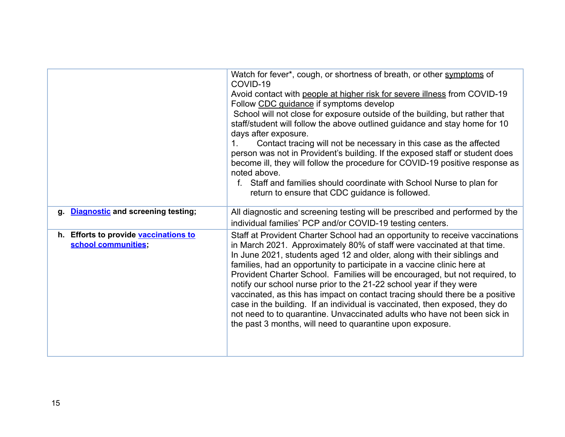|                                                              | Watch for fever*, cough, or shortness of breath, or other symptoms of<br>COVID-19                                                                                                                                                                                                                                                                                                                                                                                                                                                                                                                                                                                                                                                                                           |
|--------------------------------------------------------------|-----------------------------------------------------------------------------------------------------------------------------------------------------------------------------------------------------------------------------------------------------------------------------------------------------------------------------------------------------------------------------------------------------------------------------------------------------------------------------------------------------------------------------------------------------------------------------------------------------------------------------------------------------------------------------------------------------------------------------------------------------------------------------|
|                                                              | Avoid contact with people at higher risk for severe illness from COVID-19<br>Follow CDC guidance if symptoms develop<br>School will not close for exposure outside of the building, but rather that<br>staff/student will follow the above outlined guidance and stay home for 10<br>days after exposure.<br>Contact tracing will not be necessary in this case as the affected<br>1.<br>person was not in Provident's building. If the exposed staff or student does<br>become ill, they will follow the procedure for COVID-19 positive response as<br>noted above.<br>f. Staff and families should coordinate with School Nurse to plan for<br>return to ensure that CDC guidance is followed.                                                                           |
| <b>Diagnostic and screening testing;</b><br>q.               | All diagnostic and screening testing will be prescribed and performed by the<br>individual families' PCP and/or COVID-19 testing centers.                                                                                                                                                                                                                                                                                                                                                                                                                                                                                                                                                                                                                                   |
| h. Efforts to provide vaccinations to<br>school communities; | Staff at Provident Charter School had an opportunity to receive vaccinations<br>in March 2021. Approximately 80% of staff were vaccinated at that time.<br>In June 2021, students aged 12 and older, along with their siblings and<br>families, had an opportunity to participate in a vaccine clinic here at<br>Provident Charter School. Families will be encouraged, but not required, to<br>notify our school nurse prior to the 21-22 school year if they were<br>vaccinated, as this has impact on contact tracing should there be a positive<br>case in the building. If an individual is vaccinated, then exposed, they do<br>not need to to quarantine. Unvaccinated adults who have not been sick in<br>the past 3 months, will need to quarantine upon exposure. |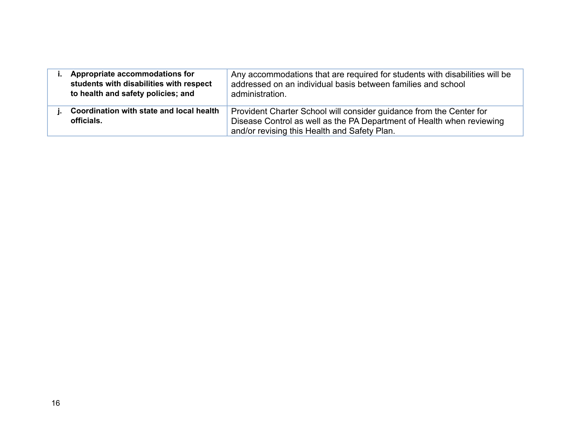| Appropriate accommodations for<br>students with disabilities with respect<br>to health and safety policies; and | Any accommodations that are required for students with disabilities will be<br>addressed on an individual basis between families and school<br>administration.                               |
|-----------------------------------------------------------------------------------------------------------------|----------------------------------------------------------------------------------------------------------------------------------------------------------------------------------------------|
| Coordination with state and local health<br>officials.                                                          | Provident Charter School will consider guidance from the Center for<br>Disease Control as well as the PA Department of Health when reviewing<br>and/or revising this Health and Safety Plan. |